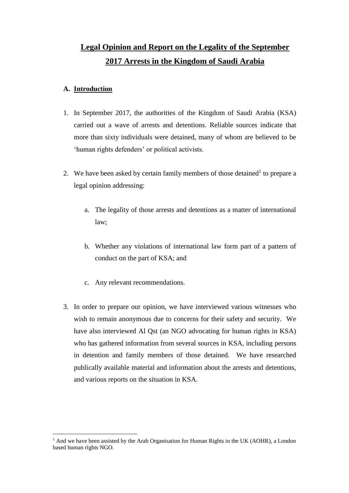# **Legal Opinion and Report on the Legality of the September 2017 Arrests in the Kingdom of Saudi Arabia**

# **A. Introduction**

- 1. In September 2017, the authorities of the Kingdom of Saudi Arabia (KSA) carried out a wave of arrests and detentions. Reliable sources indicate that more than sixty individuals were detained, many of whom are believed to be 'human rights defenders' or political activists.
- 2. We have been asked by certain family members of those detained<sup>1</sup> to prepare a legal opinion addressing:
	- a. The legality of those arrests and detentions as a matter of international law;
	- b. Whether any violations of international law form part of a pattern of conduct on the part of KSA; and
	- c. Any relevant recommendations.
- 3. In order to prepare our opinion, we have interviewed various witnesses who wish to remain anonymous due to concerns for their safety and security. We have also interviewed Al Qst (an NGO advocating for human rights in KSA) who has gathered information from several sources in KSA, including persons in detention and family members of those detained. We have researched publically available material and information about the arrests and detentions, and various reports on the situation in KSA.

<sup>&</sup>lt;sup>1</sup> And we have been assisted by the Arab Organisation for Human Rights in the UK (AOHR), a London based human rights NGO.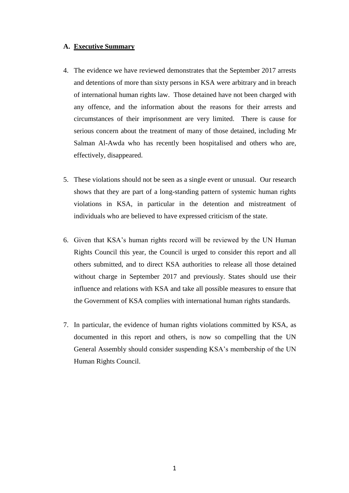# **A. Executive Summary**

- 4. The evidence we have reviewed demonstrates that the September 2017 arrests and detentions of more than sixty persons in KSA were arbitrary and in breach of international human rights law. Those detained have not been charged with any offence, and the information about the reasons for their arrests and circumstances of their imprisonment are very limited. There is cause for serious concern about the treatment of many of those detained, including Mr Salman Al-Awda who has recently been hospitalised and others who are, effectively, disappeared.
- 5. These violations should not be seen as a single event or unusual. Our research shows that they are part of a long-standing pattern of systemic human rights violations in KSA, in particular in the detention and mistreatment of individuals who are believed to have expressed criticism of the state.
- 6. Given that KSA's human rights record will be reviewed by the UN Human Rights Council this year, the Council is urged to consider this report and all others submitted, and to direct KSA authorities to release all those detained without charge in September 2017 and previously. States should use their influence and relations with KSA and take all possible measures to ensure that the Government of KSA complies with international human rights standards.
- 7. In particular, the evidence of human rights violations committed by KSA, as documented in this report and others, is now so compelling that the UN General Assembly should consider suspending KSA's membership of the UN Human Rights Council.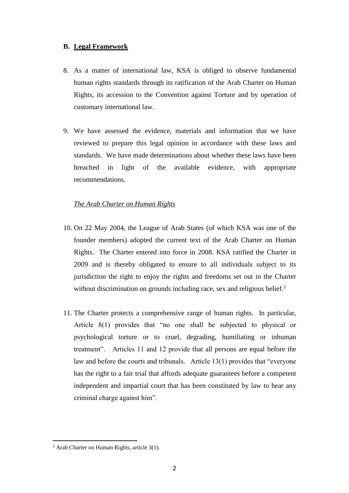# **B. Legal Framework**

- 8. As a matter of international law, KSA is obliged to observe fundamental human rights standards through its ratification of the Arab Charter on Human Rights, its accession to the Convention against Torture and by operation of customary international law.
- 9. We have assessed the evidence, materials and information that we have reviewed to prepare this legal opinion in accordance with these laws and standards. We have made determinations about whether these laws have been breached in light of the available evidence, with appropriate recommendations.

# *The Arab Charter on Human Rights*

- 10. On 22 May 2004, the League of Arab States (of which KSA was one of the founder members) adopted the current text of the Arab Charter on Human Rights. The Charter entered into force in 2008. KSA ratified the Charter in 2009 and is thereby obligated to ensure to all individuals subject to its jurisdiction the right to enjoy the rights and freedoms set out in the Charter without discrimination on grounds including race, sex and religious belief. $<sup>2</sup>$ </sup>
- 11. The Charter protects a comprehensive range of human rights. In particular, Article 8(1) provides that "no one shall be subjected to physical or psychological torture or to cruel, degrading, humiliating or inhuman treatment". Articles 11 and 12 provide that all persons are equal before the law and before the courts and tribunals. Article 13(1) provides that "everyone has the right to a fair trial that affords adequate guarantees before a competent independent and impartial court that has been constituted by law to hear any criminal charge against him".

 $2$  Arab Charter on Human Rights, article 3(1).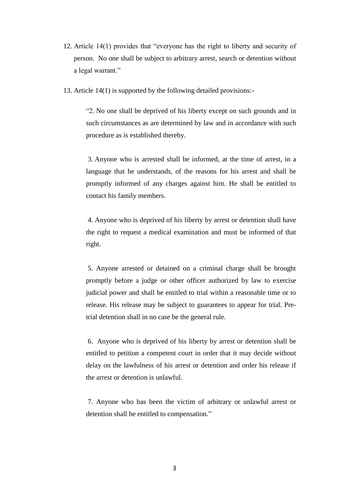- 12. Article 14(1) provides that "everyone has the right to liberty and security of person. No one shall be subject to arbitrary arrest, search or detention without a legal warrant."
- 13. Article 14(1) is supported by the following detailed provisions:-

"2. No one shall be deprived of his liberty except on such grounds and in such circumstances as are determined by law and in accordance with such procedure as is established thereby.

3. Anyone who is arrested shall be informed, at the time of arrest, in a language that he understands, of the reasons for his arrest and shall be promptly informed of any charges against him. He shall be entitled to contact his family members.

4. Anyone who is deprived of his liberty by arrest or detention shall have the right to request a medical examination and must be informed of that right.

5. Anyone arrested or detained on a criminal charge shall be brought promptly before a judge or other officer authorized by law to exercise judicial power and shall be entitled to trial within a reasonable time or to release. His release may be subject to guarantees to appear for trial. Pretrial detention shall in no case be the general rule.

6. Anyone who is deprived of his liberty by arrest or detention shall be entitled to petition a competent court in order that it may decide without delay on the lawfulness of his arrest or detention and order his release if the arrest or detention is unlawful.

7. Anyone who has been the victim of arbitrary or unlawful arrest or detention shall be entitled to compensation."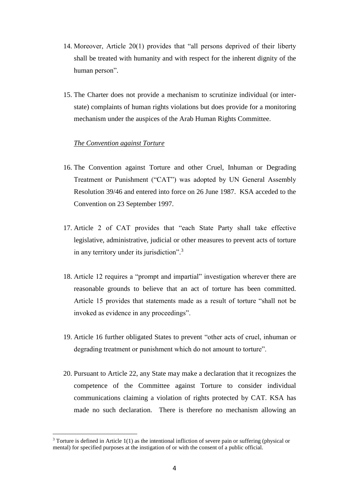- 14. Moreover, Article 20(1) provides that "all persons deprived of their liberty shall be treated with humanity and with respect for the inherent dignity of the human person".
- 15. The Charter does not provide a mechanism to scrutinize individual (or interstate) complaints of human rights violations but does provide for a monitoring mechanism under the auspices of the Arab Human Rights Committee.

# *The Convention against Torture*

- 16. The Convention against Torture and other Cruel, Inhuman or Degrading Treatment or Punishment ("CAT") was adopted by UN General Assembly Resolution 39/46 and entered into force on 26 June 1987. KSA acceded to the Convention on 23 September 1997.
- 17. Article 2 of CAT provides that "each State Party shall take effective legislative, administrative, judicial or other measures to prevent acts of torture in any territory under its jurisdiction".<sup>3</sup>
- 18. Article 12 requires a "prompt and impartial" investigation wherever there are reasonable grounds to believe that an act of torture has been committed. Article 15 provides that statements made as a result of torture "shall not be invoked as evidence in any proceedings".
- 19. Article 16 further obligated States to prevent "other acts of cruel, inhuman or degrading treatment or punishment which do not amount to torture".
- 20. Pursuant to Article 22, any State may make a declaration that it recognizes the competence of the Committee against Torture to consider individual communications claiming a violation of rights protected by CAT. KSA has made no such declaration. There is therefore no mechanism allowing an

<sup>&</sup>lt;sup>3</sup> Torture is defined in Article 1(1) as the intentional infliction of severe pain or suffering (physical or mental) for specified purposes at the instigation of or with the consent of a public official.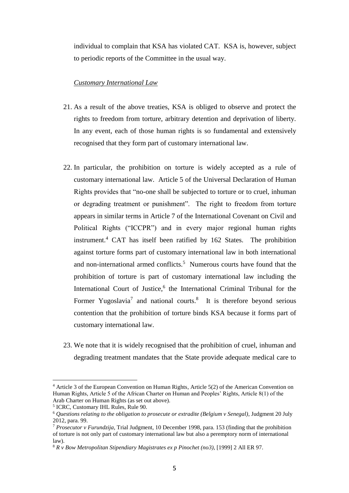individual to complain that KSA has violated CAT. KSA is, however, subject to periodic reports of the Committee in the usual way.

# *Customary International Law*

- 21. As a result of the above treaties, KSA is obliged to observe and protect the rights to freedom from torture, arbitrary detention and deprivation of liberty. In any event, each of those human rights is so fundamental and extensively recognised that they form part of customary international law.
- 22. In particular, the prohibition on torture is widely accepted as a rule of customary international law. Article 5 of the Universal Declaration of Human Rights provides that "no-one shall be subjected to torture or to cruel, inhuman or degrading treatment or punishment". The right to freedom from torture appears in similar terms in Article 7 of the International Covenant on Civil and Political Rights ("ICCPR") and in every major regional human rights instrument.<sup>4</sup> CAT has itself been ratified by 162 States. The prohibition against torture forms part of customary international law in both international and non-international armed conflicts.<sup>5</sup> Numerous courts have found that the prohibition of torture is part of customary international law including the International Court of Justice,<sup>6</sup> the International Criminal Tribunal for the Former Yugoslavia<sup>7</sup> and national courts.<sup>8</sup> It is therefore beyond serious contention that the prohibition of torture binds KSA because it forms part of customary international law.
- 23. We note that it is widely recognised that the prohibition of cruel, inhuman and degrading treatment mandates that the State provide adequate medical care to

<sup>4</sup> Article 3 of the European Convention on Human Rights, Article 5(2) of the American Convention on Human Rights, Article 5 of the African Charter on Human and Peoples' Rights, Article 8(1) of the Arab Charter on Human Rights (as set out above).

<sup>5</sup> ICRC, Customary IHL Rules, Rule 90.

<sup>6</sup> *Questions relating to the obligation to prosecute or extradite (Belgium v Senegal)*, Judgment 20 July 2012, para. 99.

<sup>7</sup> *Prosecutor v Furundzija*, Trial Judgment, 10 December 1998, para. 153 (finding that the prohibition of torture is not only part of customary international law but also a peremptory norm of international  $law$ ).

<sup>8</sup> *R v Bow Metropolitan Stipendiary Magistrates ex p Pinochet (no3)*, [1999] 2 All ER 97.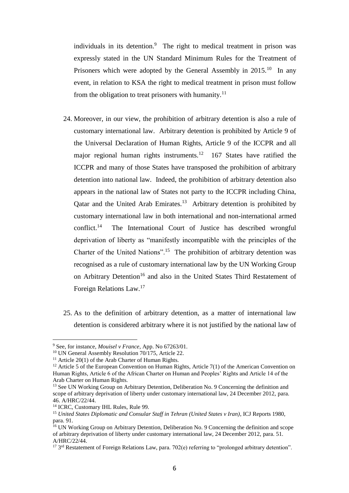individuals in its detention.<sup>9</sup> The right to medical treatment in prison was expressly stated in the UN Standard Minimum Rules for the Treatment of Prisoners which were adopted by the General Assembly in 2015.<sup>10</sup> In any event, in relation to KSA the right to medical treatment in prison must follow from the obligation to treat prisoners with humanity.<sup>11</sup>

- 24. Moreover, in our view, the prohibition of arbitrary detention is also a rule of customary international law. Arbitrary detention is prohibited by Article 9 of the Universal Declaration of Human Rights, Article 9 of the ICCPR and all major regional human rights instruments.<sup>12</sup> 167 States have ratified the ICCPR and many of those States have transposed the prohibition of arbitrary detention into national law. Indeed, the prohibition of arbitrary detention also appears in the national law of States not party to the ICCPR including China, Qatar and the United Arab Emirates.<sup>13</sup> Arbitrary detention is prohibited by customary international law in both international and non-international armed conflict. $14$  The International Court of Justice has described wrongful deprivation of liberty as "manifestly incompatible with the principles of the Charter of the United Nations".<sup>15</sup> The prohibition of arbitrary detention was recognised as a rule of customary international law by the UN Working Group on Arbitrary Detention<sup>16</sup> and also in the United States Third Restatement of Foreign Relations Law.<sup>17</sup>
- 25. As to the definition of arbitrary detention, as a matter of international law detention is considered arbitrary where it is not justified by the national law of

<sup>9</sup> See, for instance, *Mouisel v France*, App. No 67263/01.

<sup>&</sup>lt;sup>10</sup> UN General Assembly Resolution 70/175, Article 22.

<sup>&</sup>lt;sup>11</sup> Article 20(1) of the Arab Charter of Human Rights.

<sup>&</sup>lt;sup>12</sup> Article 5 of the European Convention on Human Rights, Article 7(1) of the American Convention on Human Rights, Article 6 of the African Charter on Human and Peoples' Rights and Article 14 of the Arab Charter on Human Rights.

<sup>&</sup>lt;sup>13</sup> See UN Working Group on Arbitrary Detention, Deliberation No. 9 Concerning the definition and scope of arbitrary deprivation of liberty under customary international law, 24 December 2012, para. 46. A/HRC/22/44.

<sup>&</sup>lt;sup>14</sup> ICRC, Customary IHL Rules, Rule 99.

<sup>15</sup> *United States Diplomatic and Consular Staff in Tehran (United States v Iran)*, ICJ Reports 1980, para. 91.

<sup>&</sup>lt;sup>16</sup> UN Working Group on Arbitrary Detention, Deliberation No. 9 Concerning the definition and scope of arbitrary deprivation of liberty under customary international law, 24 December 2012, para. 51. A/HRC/22/44.

<sup>&</sup>lt;sup>17</sup> 3<sup>rd</sup> Restatement of Foreign Relations Law, para. 702(e) referring to "prolonged arbitrary detention".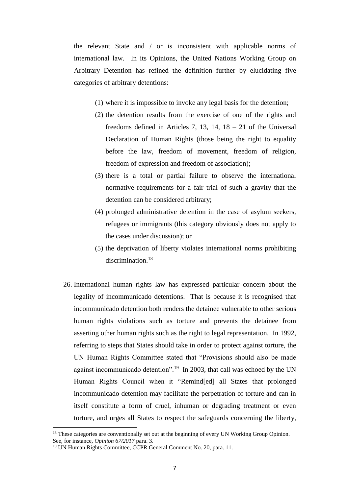the relevant State and / or is inconsistent with applicable norms of international law. In its Opinions, the United Nations Working Group on Arbitrary Detention has refined the definition further by elucidating five categories of arbitrary detentions:

- (1) where it is impossible to invoke any legal basis for the detention;
- (2) the detention results from the exercise of one of the rights and freedoms defined in Articles 7, 13, 14,  $18 - 21$  of the Universal Declaration of Human Rights (those being the right to equality before the law, freedom of movement, freedom of religion, freedom of expression and freedom of association);
- (3) there is a total or partial failure to observe the international normative requirements for a fair trial of such a gravity that the detention can be considered arbitrary;
- (4) prolonged administrative detention in the case of asylum seekers, refugees or immigrants (this category obviously does not apply to the cases under discussion); or
- (5) the deprivation of liberty violates international norms prohibiting discrimination.<sup>18</sup>
- 26. International human rights law has expressed particular concern about the legality of incommunicado detentions. That is because it is recognised that incommunicado detention both renders the detainee vulnerable to other serious human rights violations such as torture and prevents the detainee from asserting other human rights such as the right to legal representation. In 1992, referring to steps that States should take in order to protect against torture, the UN Human Rights Committee stated that "Provisions should also be made against incommunicado detention".<sup>19</sup> In 2003, that call was echoed by the UN Human Rights Council when it "Remind[ed] all States that prolonged incommunicado detention may facilitate the perpetration of torture and can in itself constitute a form of cruel, inhuman or degrading treatment or even torture, and urges all States to respect the safeguards concerning the liberty,

<sup>&</sup>lt;sup>18</sup> These categories are conventionally set out at the beginning of every UN Working Group Opinion. See, for instance, *Opinion 67/2017* para. 3.

<sup>19</sup> UN Human Rights Committee, CCPR General Comment No. 20, para. 11.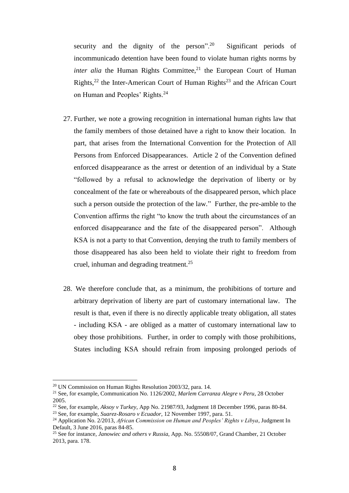security and the dignity of the person". $20$  Significant periods of incommunicado detention have been found to violate human rights norms by *inter alia* the Human Rights Committee,<sup>21</sup> the European Court of Human Rights,<sup>22</sup> the Inter-American Court of Human Rights<sup>23</sup> and the African Court on Human and Peoples' Rights.<sup>24</sup>

- 27. Further, we note a growing recognition in international human rights law that the family members of those detained have a right to know their location. In part, that arises from the International Convention for the Protection of All Persons from Enforced Disappearances. Article 2 of the Convention defined enforced disappearance as the arrest or detention of an individual by a State "followed by a refusal to acknowledge the deprivation of liberty or by concealment of the fate or whereabouts of the disappeared person, which place such a person outside the protection of the law." Further, the pre-amble to the Convention affirms the right "to know the truth about the circumstances of an enforced disappearance and the fate of the disappeared person". Although KSA is not a party to that Convention, denying the truth to family members of those disappeared has also been held to violate their right to freedom from cruel, inhuman and degrading treatment.<sup>25</sup>
- 28. We therefore conclude that, as a minimum, the prohibitions of torture and arbitrary deprivation of liberty are part of customary international law. The result is that, even if there is no directly applicable treaty obligation, all states - including KSA - are obliged as a matter of customary international law to obey those prohibitions. Further, in order to comply with those prohibitions, States including KSA should refrain from imposing prolonged periods of

<sup>&</sup>lt;sup>20</sup> UN Commission on Human Rights Resolution 2003/32, para. 14.

<sup>21</sup> See, for example, Communication No. 1126/2002, *Marlem Carranza Alegre v Peru*, 28 October 2005.

<sup>22</sup> See, for example, *Aksoy v Turkey*, App No. 21987/93, Judgment 18 December 1996, paras 80-84.

<sup>23</sup> See, for example, *Suarez-Rosaro v Ecuador*, 12 November 1997, para. 51.

<sup>24</sup> Application No. 2/2013, *African Commission on Human and Peoples' Rights v Libya*, Judgment In Default, 3 June 2016, paras 84-85.

<sup>25</sup> See for instance, *Janowiec and others v Russia*, App. No. 55508/07, Grand Chamber, 21 October 2013, para. 178.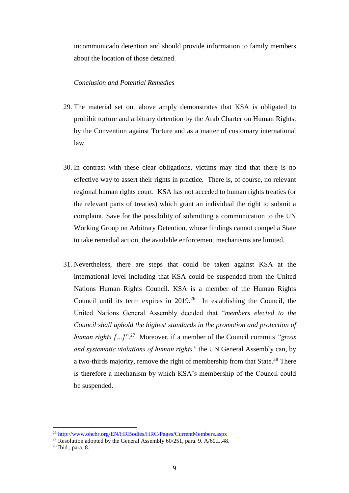incommunicado detention and should provide information to family members about the location of those detained.

#### *Conclusion and Potential Remedies*

- 29. The material set out above amply demonstrates that KSA is obligated to prohibit torture and arbitrary detention by the Arab Charter on Human Rights, by the Convention against Torture and as a matter of customary international law.
- 30. In contrast with these clear obligations, victims may find that there is no effective way to assert their rights in practice. There is, of course, no relevant regional human rights court. KSA has not acceded to human rights treaties (or the relevant parts of treaties) which grant an individual the right to submit a complaint. Save for the possibility of submitting a communication to the UN Working Group on Arbitrary Detention, whose findings cannot compel a State to take remedial action, the available enforcement mechanisms are limited.
- 31. Nevertheless, there are steps that could be taken against KSA at the international level including that KSA could be suspended from the United Nations Human Rights Council. KSA is a member of the Human Rights Council until its term expires in  $2019<sup>26</sup>$  In establishing the Council, the United Nations General Assembly decided that "*members elected to the Council shall uphold the highest standards in the promotion and protection of human rights […]*".<sup>27</sup> Moreover, if a member of the Council commits *"gross and systematic violations of human rights"* the UN General Assembly can, by a two-thirds majority, remove the right of membership from that State.<sup>28</sup> There is therefore a mechanism by which KSA's membership of the Council could be suspended.

<sup>&</sup>lt;sup>26</sup> <http://www.ohchr.org/EN/HRBodies/HRC/Pages/CurrentMembers.aspx>

<sup>&</sup>lt;sup>27</sup> Resolution adopted by the General Assembly  $60/251$ , para. 9. A/60.L.48.

<sup>28</sup> Ibid., para. 8.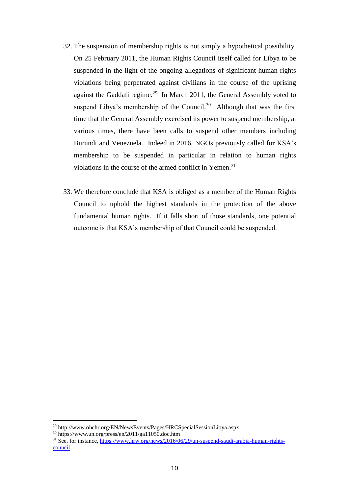- 32. The suspension of membership rights is not simply a hypothetical possibility. On 25 February 2011, the Human Rights Council itself called for Libya to be suspended in the light of the ongoing allegations of significant human rights violations being perpetrated against civilians in the course of the uprising against the Gaddafi regime.<sup>29</sup> In March 2011, the General Assembly voted to suspend Libya's membership of the Council.<sup>30</sup> Although that was the first time that the General Assembly exercised its power to suspend membership, at various times, there have been calls to suspend other members including Burundi and Venezuela. Indeed in 2016, NGOs previously called for KSA's membership to be suspended in particular in relation to human rights violations in the course of the armed conflict in Yemen.<sup>31</sup>
- 33. We therefore conclude that KSA is obliged as a member of the Human Rights Council to uphold the highest standards in the protection of the above fundamental human rights. If it falls short of those standards, one potential outcome is that KSA's membership of that Council could be suspended.

<sup>29</sup> http://www.ohchr.org/EN/NewsEvents/Pages/HRCSpecialSessionLibya.aspx

<sup>30</sup> https://www.un.org/press/en/2011/ga11050.doc.htm

<sup>31</sup> See, for instance, [https://www.hrw.org/news/2016/06/29/un-suspend-saudi-arabia-human-rights](https://www.hrw.org/news/2016/06/29/un-suspend-saudi-arabia-human-rights-council)[council](https://www.hrw.org/news/2016/06/29/un-suspend-saudi-arabia-human-rights-council)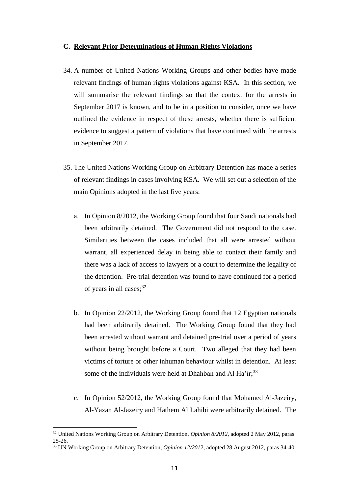#### **C. Relevant Prior Determinations of Human Rights Violations**

- 34. A number of United Nations Working Groups and other bodies have made relevant findings of human rights violations against KSA. In this section, we will summarise the relevant findings so that the context for the arrests in September 2017 is known, and to be in a position to consider, once we have outlined the evidence in respect of these arrests, whether there is sufficient evidence to suggest a pattern of violations that have continued with the arrests in September 2017.
- 35. The United Nations Working Group on Arbitrary Detention has made a series of relevant findings in cases involving KSA. We will set out a selection of the main Opinions adopted in the last five years:
	- a. In Opinion 8/2012, the Working Group found that four Saudi nationals had been arbitrarily detained. The Government did not respond to the case. Similarities between the cases included that all were arrested without warrant, all experienced delay in being able to contact their family and there was a lack of access to lawyers or a court to determine the legality of the detention. Pre-trial detention was found to have continued for a period of years in all cases;  $32$
	- b. In Opinion 22/2012, the Working Group found that 12 Egyptian nationals had been arbitrarily detained. The Working Group found that they had been arrested without warrant and detained pre-trial over a period of years without being brought before a Court. Two alleged that they had been victims of torture or other inhuman behaviour whilst in detention. At least some of the individuals were held at Dhahban and Al Ha'ir;<sup>33</sup>
	- c. In Opinion 52/2012, the Working Group found that Mohamed Al-Jazeiry, Al-Yazan Al-Jazeiry and Hathem Al Lahibi were arbitrarily detained. The

<sup>32</sup> United Nations Working Group on Arbitrary Detention, *Opinion 8/2012,* adopted 2 May 2012, paras 25-26.

<sup>33</sup> UN Working Group on Arbitrary Detention, *Opinion 12/2012*, adopted 28 August 2012, paras 34-40.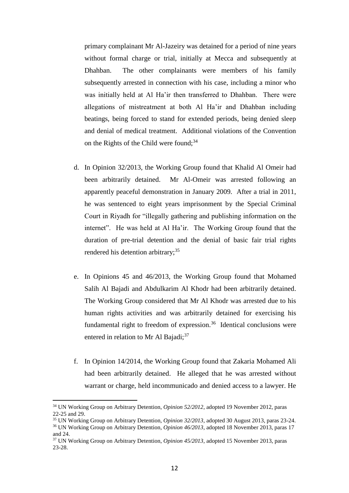primary complainant Mr Al-Jazeiry was detained for a period of nine years without formal charge or trial, initially at Mecca and subsequently at Dhahban. The other complainants were members of his family subsequently arrested in connection with his case, including a minor who was initially held at Al Ha'ir then transferred to Dhahban. There were allegations of mistreatment at both Al Ha'ir and Dhahban including beatings, being forced to stand for extended periods, being denied sleep and denial of medical treatment. Additional violations of the Convention on the Rights of the Child were found;<sup>34</sup>

- d. In Opinion 32/2013, the Working Group found that Khalid Al Omeir had been arbitrarily detained. Mr Al-Omeir was arrested following an apparently peaceful demonstration in January 2009. After a trial in 2011, he was sentenced to eight years imprisonment by the Special Criminal Court in Riyadh for "illegally gathering and publishing information on the internet". He was held at Al Ha'ir. The Working Group found that the duration of pre-trial detention and the denial of basic fair trial rights rendered his detention arbitrary;<sup>35</sup>
- e. In Opinions 45 and 46/2013, the Working Group found that Mohamed Salih Al Bajadi and Abdulkarim Al Khodr had been arbitrarily detained. The Working Group considered that Mr Al Khodr was arrested due to his human rights activities and was arbitrarily detained for exercising his fundamental right to freedom of expression.<sup>36</sup> Identical conclusions were entered in relation to Mr Al Bajadi;<sup>37</sup>
- f. In Opinion 14/2014, the Working Group found that Zakaria Mohamed Ali had been arbitrarily detained. He alleged that he was arrested without warrant or charge, held incommunicado and denied access to a lawyer. He

<sup>34</sup> UN Working Group on Arbitrary Detention, *Opinion 52/2012*, adopted 19 November 2012, paras 22-25 and 29.

<sup>35</sup> UN Working Group on Arbitrary Detention, *Opinion 32/2013*, adopted 30 August 2013, paras 23-24.

<sup>36</sup> UN Working Group on Arbitrary Detention, *Opinion 46/2013*, adopted 18 November 2013, paras 17 and 24.

<sup>37</sup> UN Working Group on Arbitrary Detention, *Opinion 45/2013*, adopted 15 November 2013, paras 23-28.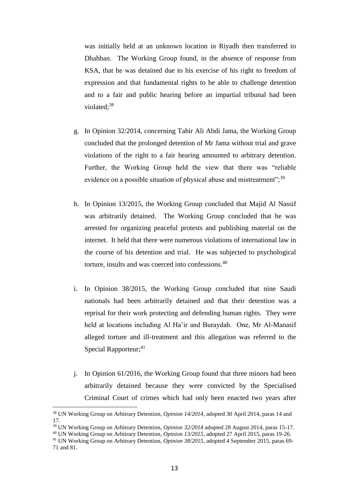was initially held at an unknown location in Riyadh then transferred to Dhahban. The Working Group found, in the absence of response from KSA, that he was detained due to his exercise of his right to freedom of expression and that fundamental rights to be able to challenge detention and to a fair and public hearing before an impartial tribunal had been violated;<sup>38</sup>

- g. In Opinion 32/2014, concerning Tahir Ali Abdi Jama, the Working Group concluded that the prolonged detention of Mr Jama without trial and grave violations of the right to a fair hearing amounted to arbitrary detention. Further, the Working Group held the view that there was "reliable evidence on a possible situation of physical abuse and mistreatment"; $39$
- h. In Opinion 13/2015, the Working Group concluded that Majid Al Nassif was arbitrarily detained. The Working Group concluded that he was arrested for organizing peaceful protests and publishing material on the internet. It held that there were numerous violations of international law in the course of his detention and trial. He was subjected to psychological torture, insults and was coerced into confessions.<sup>40</sup>
- i. In Opinion 38/2015, the Working Group concluded that nine Saudi nationals had been arbitrarily detained and that their detention was a reprisal for their work protecting and defending human rights. They were held at locations including Al Ha'ir and Buraydah. One, Mr Al-Manasif alleged torture and ill-treatment and this allegation was referred to the Special Rapporteur; $41$
- j. In Opinion 61/2016, the Working Group found that three minors had been arbitrarily detained because they were convicted by the Specialised Criminal Court of crimes which had only been enacted two years after

<sup>38</sup> UN Working Group on Arbitrary Detention, *Opinion 14/2014*, adopted 30 April 2014, paras 14 and 17.

<sup>39</sup> UN Working Group on Arbitrary Detention, *Opinion 32/2014* adopted 28 August 2014, paras 15-17.

<sup>40</sup> UN Working Group on Arbitrary Detention, *Opinion 13/2015*, adopted 27 April 2015, paras 19-26.

<sup>41</sup> UN Working Group on Arbitrary Detention, *Opinion 38/2015*, adopted 4 September 2015, paras 69- 71 and 81.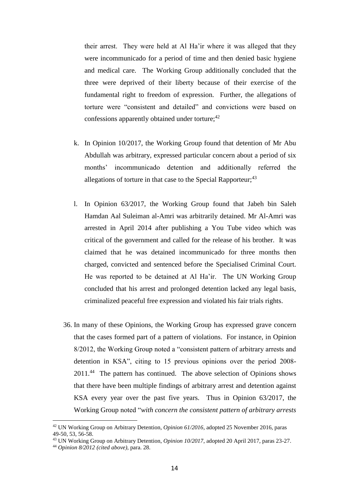their arrest. They were held at Al Ha'ir where it was alleged that they were incommunicado for a period of time and then denied basic hygiene and medical care. The Working Group additionally concluded that the three were deprived of their liberty because of their exercise of the fundamental right to freedom of expression. Further, the allegations of torture were "consistent and detailed" and convictions were based on confessions apparently obtained under torture;<sup>42</sup>

- k. In Opinion 10/2017, the Working Group found that detention of Mr Abu Abdullah was arbitrary, expressed particular concern about a period of six months' incommunicado detention and additionally referred the allegations of torture in that case to the Special Rapporteur;<sup>43</sup>
- l. In Opinion 63/2017, the Working Group found that Jabeh bin Saleh Hamdan Aal Suleiman al-Amri was arbitrarily detained. Mr Al-Amri was arrested in April 2014 after publishing a You Tube video which was critical of the government and called for the release of his brother. It was claimed that he was detained incommunicado for three months then charged, convicted and sentenced before the Specialised Criminal Court. He was reported to be detained at Al Ha'ir. The UN Working Group concluded that his arrest and prolonged detention lacked any legal basis, criminalized peaceful free expression and violated his fair trials rights.
- 36. In many of these Opinions, the Working Group has expressed grave concern that the cases formed part of a pattern of violations. For instance, in Opinion 8/2012, the Working Group noted a "consistent pattern of arbitrary arrests and detention in KSA", citing to 15 previous opinions over the period 2008- 2011.<sup>44</sup> The pattern has continued. The above selection of Opinions shows that there have been multiple findings of arbitrary arrest and detention against KSA every year over the past five years. Thus in Opinion 63/2017, the Working Group noted "*with concern the consistent pattern of arbitrary arrests*

<sup>42</sup> UN Working Group on Arbitrary Detention, *Opinion 61/2016*, adopted 25 November 2016, paras 49-50, 53, 56-58.

<sup>43</sup> UN Working Group on Arbitrary Detention, *Opinion 10/2017*, adopted 20 April 2017, paras 23-27.

<sup>44</sup> *Opinion 8/2012 (cited above)*, para. 28.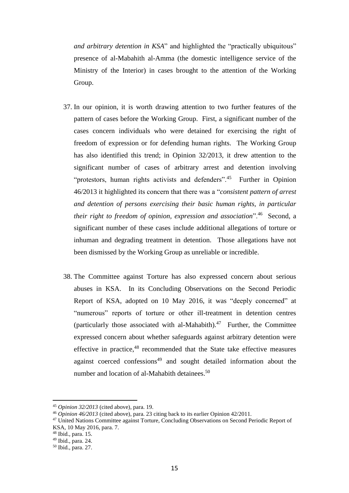*and arbitrary detention in KSA*" and highlighted the "practically ubiquitous" presence of al-Mabahith al-Amma (the domestic intelligence service of the Ministry of the Interior) in cases brought to the attention of the Working Group.

- 37. In our opinion, it is worth drawing attention to two further features of the pattern of cases before the Working Group. First, a significant number of the cases concern individuals who were detained for exercising the right of freedom of expression or for defending human rights. The Working Group has also identified this trend; in Opinion 32/2013, it drew attention to the significant number of cases of arbitrary arrest and detention involving "protestors, human rights activists and defenders".<sup>45</sup> Further in Opinion 46/2013 it highlighted its concern that there was a "*consistent pattern of arrest and detention of persons exercising their basic human rights, in particular their right to freedom of opinion, expression and association*".<sup>46</sup> Second, a significant number of these cases include additional allegations of torture or inhuman and degrading treatment in detention. Those allegations have not been dismissed by the Working Group as unreliable or incredible.
- 38. The Committee against Torture has also expressed concern about serious abuses in KSA. In its Concluding Observations on the Second Periodic Report of KSA, adopted on 10 May 2016, it was "deeply concerned" at "numerous" reports of torture or other ill-treatment in detention centres (particularly those associated with al-Mahabith). $47$  Further, the Committee expressed concern about whether safeguards against arbitrary detention were effective in practice,<sup>48</sup> recommended that the State take effective measures against coerced confessions<sup>49</sup> and sought detailed information about the number and location of al-Mahabith detainees.<sup>50</sup>

<sup>45</sup> *Opinion 32/2013* (cited above), para. 19.

<sup>46</sup> *Opinion 46/2013* (cited above), para. 23 citing back to its earlier Opinion 42/2011.

<sup>47</sup> United Nations Committee against Torture, Concluding Observations on Second Periodic Report of KSA, 10 May 2016, para. 7.

<sup>48</sup> Ibid., para. 15.

<sup>49</sup> Ibid., para. 24.

<sup>50</sup> Ibid., para. 27.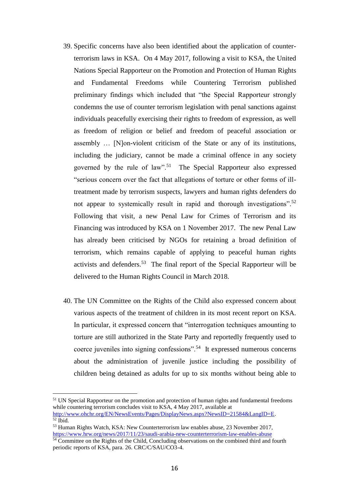- 39. Specific concerns have also been identified about the application of counterterrorism laws in KSA. On 4 May 2017, following a visit to KSA, the United Nations Special Rapporteur on the Promotion and Protection of Human Rights and Fundamental Freedoms while Countering Terrorism published preliminary findings which included that "the Special Rapporteur strongly condemns the use of counter terrorism legislation with penal sanctions against individuals peacefully exercising their rights to freedom of expression, as well as freedom of religion or belief and freedom of peaceful association or assembly … [N]on-violent criticism of the State or any of its institutions, including the judiciary, cannot be made a criminal offence in any society governed by the rule of law".<sup>51</sup> The Special Rapporteur also expressed "serious concern over the fact that allegations of torture or other forms of illtreatment made by terrorism suspects, lawyers and human rights defenders do not appear to systemically result in rapid and thorough investigations".<sup>52</sup> Following that visit, a new Penal Law for Crimes of Terrorism and its Financing was introduced by KSA on 1 November 2017. The new Penal Law has already been criticised by NGOs for retaining a broad definition of terrorism, which remains capable of applying to peaceful human rights activists and defenders.<sup>53</sup> The final report of the Special Rapporteur will be delivered to the Human Rights Council in March 2018.
- 40. The UN Committee on the Rights of the Child also expressed concern about various aspects of the treatment of children in its most recent report on KSA. In particular, it expressed concern that "interrogation techniques amounting to torture are still authorized in the State Party and reportedly frequently used to coerce juveniles into signing confessions".<sup>54</sup> It expressed numerous concerns about the administration of juvenile justice including the possibility of children being detained as adults for up to six months without being able to

<sup>&</sup>lt;sup>51</sup> UN Special Rapporteur on the promotion and protection of human rights and fundamental freedoms while countering terrorism concludes visit to KSA, 4 May 2017, available at [http://www.ohchr.org/EN/NewsEvents/Pages/DisplayNews.aspx?NewsID=21584&LangID=E.](http://www.ohchr.org/EN/NewsEvents/Pages/DisplayNews.aspx?NewsID=21584&LangID=E)  $52$  Ibid.

<sup>53</sup> Human Rights Watch, KSA: New Counterterrorism law enables abuse, 23 November 2017, <https://www.hrw.org/news/2017/11/23/saudi-arabia-new-counterterrorism-law-enables-abuse>

<sup>&</sup>lt;sup>54</sup> Committee on the Rights of the Child, Concluding observations on the combined third and fourth periodic reports of KSA, para. 26. CRC/C/SAU/CO3-4.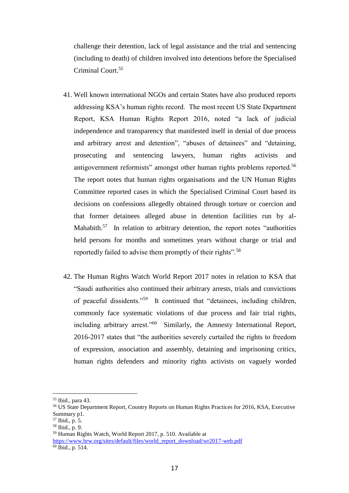challenge their detention, lack of legal assistance and the trial and sentencing (including to death) of children involved into detentions before the Specialised Criminal Court.<sup>55</sup>

- 41. Well known international NGOs and certain States have also produced reports addressing KSA's human rights record. The most recent US State Department Report, KSA Human Rights Report 2016, noted "a lack of judicial independence and transparency that manifested itself in denial of due process and arbitrary arrest and detention", "abuses of detainees" and "detaining, prosecuting and sentencing lawyers, human rights activists and antigovernment reformists" amongst other human rights problems reported.<sup>56</sup> The report notes that human rights organisations and the UN Human Rights Committee reported cases in which the Specialised Criminal Court based its decisions on confessions allegedly obtained through torture or coercion and that former detainees alleged abuse in detention facilities run by al-Mahabith.<sup>57</sup> In relation to arbitrary detention, the report notes "authorities held persons for months and sometimes years without charge or trial and reportedly failed to advise them promptly of their rights".<sup>58</sup>
- 42. The Human Rights Watch World Report 2017 notes in relation to KSA that "Saudi authorities also continued their arbitrary arrests, trials and convictions of peaceful dissidents."<sup>59</sup> It continued that "detainees, including children, commonly face systematic violations of due process and fair trial rights, including arbitrary arrest."<sup>60</sup> Similarly, the Amnesty International Report, 2016-2017 states that "the authorities severely curtailed the rights to freedom of expression, association and assembly, detaining and imprisoning critics, human rights defenders and minority rights activists on vaguely worded

<sup>55</sup> Ibid., para 43.

<sup>56</sup> US State Department Report, Country Reports on Human Rights Practices for 2016, KSA, Executive Summary p1.

 $57$  Ibid., p. 5.

<sup>58</sup> Ibid., p. 9.

<sup>59</sup> Human Rights Watch, World Report 2017, p. 510. Available at

[https://www.hrw.org/sites/default/files/world\\_report\\_download/wr2017-web.pdf](https://www.hrw.org/sites/default/files/world_report_download/wr2017-web.pdf)  $60$  Ibid., p. 514.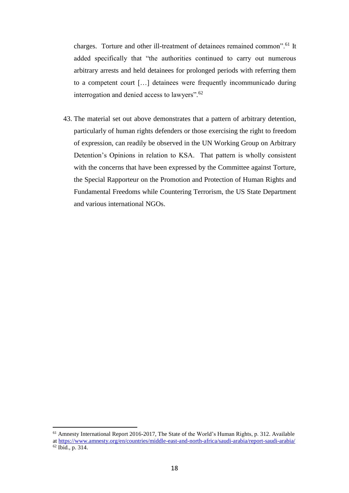charges. Torture and other ill-treatment of detainees remained common".<sup>61</sup> It added specifically that "the authorities continued to carry out numerous arbitrary arrests and held detainees for prolonged periods with referring them to a competent court […] detainees were frequently incommunicado during interrogation and denied access to lawyers".<sup>62</sup>

43. The material set out above demonstrates that a pattern of arbitrary detention, particularly of human rights defenders or those exercising the right to freedom of expression, can readily be observed in the UN Working Group on Arbitrary Detention's Opinions in relation to KSA. That pattern is wholly consistent with the concerns that have been expressed by the Committee against Torture, the Special Rapporteur on the Promotion and Protection of Human Rights and Fundamental Freedoms while Countering Terrorism, the US State Department and various international NGOs.

<sup>61</sup> Amnesty International Report 2016-2017, The State of the World's Human Rights, p. 312. Available a[t https://www.amnesty.org/en/countries/middle-east-and-north-africa/saudi-arabia/report-saudi-arabia/](https://www.amnesty.org/en/countries/middle-east-and-north-africa/saudi-arabia/report-saudi-arabia/)

 $62$  Ibid., p. 314.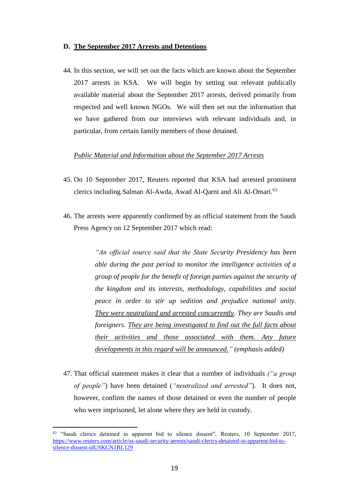#### **D. The September 2017 Arrests and Detentions**

44. In this section, we will set out the facts which are known about the September 2017 arrests in KSA. We will begin by setting out relevant publically available material about the September 2017 arrests, derived primarily from respected and well known NGOs. We will then set out the information that we have gathered from our interviews with relevant individuals and, in particular, from certain family members of those detained.

# *Public Material and Information about the September 2017 Arrests*

- 45. On 10 September 2017, Reuters reported that KSA had arrested prominent clerics including Salman Al-Awda, Awad Al-Qarni and Ali Al-Omari.<sup>63</sup>
- 46. The arrests were apparently confirmed by an official statement from the Saudi Press Agency on 12 September 2017 which read:

*"An official source said that the State Security Presidency has been able during the past period to monitor the intelligence activities of a group of people for the benefit of foreign parties against the security of the kingdom and its interests, methodology, capabilities and social peace in order to stir up sedition and prejudice national unity. They were neutralized and arrested concurrently. They are Saudis and foreigners. They are being investigated to find out the full facts about their activities and those associated with them. Any future developments in this regard will be announced." (emphasis added)*

47. That official statement makes it clear that a number of individuals *("a group of people"*) have been detained (*"neutralized and arrested"*). It does not, however, confirm the names of those detained or even the number of people who were imprisoned, let alone where they are held in custody.

<sup>&</sup>lt;sup>63</sup> "Saudi clerics detained in apparent bid to silence dissent", Reuters, 10 September 2017, [https://www.reuters.com/article/us-saudi-security-arrests/saudi-clerics-detained-in-apparent-bid-to](https://www.reuters.com/article/us-saudi-security-arrests/saudi-clerics-detained-in-apparent-bid-to-silence-dissent-idUSKCN1BL129)[silence-dissent-idUSKCN1BL129](https://www.reuters.com/article/us-saudi-security-arrests/saudi-clerics-detained-in-apparent-bid-to-silence-dissent-idUSKCN1BL129)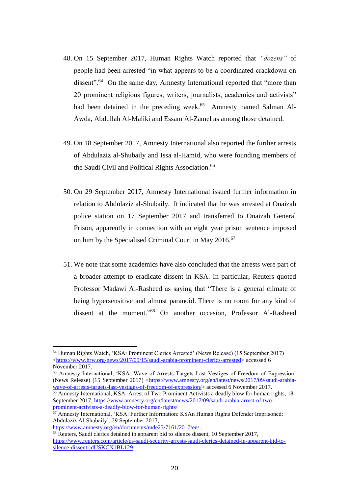- 48. On 15 September 2017, Human Rights Watch reported that *"dozens"* of people had been arrested "in what appears to be a coordinated crackdown on dissent".<sup>64</sup> On the same day, Amnesty International reported that "more than 20 prominent religious figures, writers, journalists, academics and activists" had been detained in the preceding week.<sup>65</sup> Amnesty named Salman Al-Awda, Abdullah Al-Maliki and Essam Al-Zamel as among those detained.
- 49. On 18 September 2017, Amnesty International also reported the further arrests of Abdulaziz al-Shubaily and Issa al-Hamid, who were founding members of the Saudi Civil and Political Rights Association.<sup>66</sup>
- 50. On 29 September 2017, Amnesty International issued further information in relation to Abdulaziz al-Shubaily. It indicated that he was arrested at Onaizah police station on 17 September 2017 and transferred to Onaizah General Prison, apparently in connection with an eight year prison sentence imposed on him by the Specialised Criminal Court in May 2016.<sup>67</sup>
- 51. We note that some academics have also concluded that the arrests were part of a broader attempt to eradicate dissent in KSA. In particular, Reuters quoted Professor Madawi Al-Rasheed as saying that "There is a general climate of being hypersensitive and almost paranoid. There is no room for any kind of dissent at the moment." <sup>68</sup> On another occasion, Professor Al-Rasheed

<sup>65</sup> Amnesty International, 'KSA: Wave of Arrests Targets Last Vestiges of Freedom of Expression' (News Release) (15 September 2017) [<https://www.amnesty.org/en/latest/news/2017/09/saudi-arabia](https://www.amnesty.org/en/latest/news/2017/09/saudi-arabia-wave-of-arrests-targets-last-vestiges-of-freedom-of-expression/)[wave-of-arrests-targets-last-vestiges-of-freedom-of-expression/>](https://www.amnesty.org/en/latest/news/2017/09/saudi-arabia-wave-of-arrests-targets-last-vestiges-of-freedom-of-expression/) accessed 6 November 2017.

<https://www.amnesty.org/en/documents/mde23/7161/2017/en/> .

<sup>64</sup> Human Rights Watch, 'KSA: Prominent Clerics Arrested' (News Release) (15 September 2017) [<https://www.hrw.org/news/2017/09/15/saudi-arabia-prominent-clerics-arrested>](https://www.hrw.org/news/2017/09/15/saudi-arabia-prominent-clerics-arrested) accessed 6 November 2017.

<sup>&</sup>lt;sup>66</sup> Amnesty International, KSA: Arrest of Two Prominent Activists a deadly blow for human rights, 18 September 2017, [https://www.amnesty.org/en/latest/news/2017/09/saudi-arabia-arrest-of-two](https://www.amnesty.org/en/latest/news/2017/09/saudi-arabia-arrest-of-two-prominent-activists-a-deadly-blow-for-human-rights/)[prominent-activists-a-deadly-blow-for-human-rights/](https://www.amnesty.org/en/latest/news/2017/09/saudi-arabia-arrest-of-two-prominent-activists-a-deadly-blow-for-human-rights/)

<sup>&</sup>lt;sup>67</sup> Amnesty International, 'KSA: Further Information: KSAn Human Rights Defender Imprisoned: Abdulaziz Al-Shubaily', 29 September 2017,

<sup>68</sup> Reuters, Saudi clerics detained in apparent bid to silence dissent, 10 September 2017, [https://www.reuters.com/article/us-saudi-security-arrests/saudi-clerics-detained-in-apparent-bid-to](https://www.reuters.com/article/us-saudi-security-arrests/saudi-clerics-detained-in-apparent-bid-to-silence-dissent-idUSKCN1BL129)[silence-dissent-idUSKCN1BL129](https://www.reuters.com/article/us-saudi-security-arrests/saudi-clerics-detained-in-apparent-bid-to-silence-dissent-idUSKCN1BL129)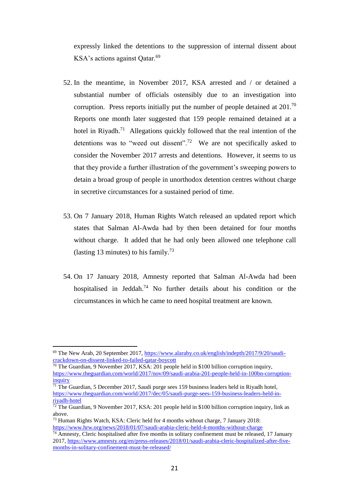expressly linked the detentions to the suppression of internal dissent about KSA's actions against Qatar.<sup>69</sup>

- 52. In the meantime, in November 2017, KSA arrested and / or detained a substantial number of officials ostensibly due to an investigation into corruption. Press reports initially put the number of people detained at  $201$ .<sup>70</sup> Reports one month later suggested that 159 people remained detained at a hotel in Riyadh.<sup>71</sup> Allegations quickly followed that the real intention of the detentions was to "weed out dissent".<sup>72</sup> We are not specifically asked to consider the November 2017 arrests and detentions. However, it seems to us that they provide a further illustration of the government's sweeping powers to detain a broad group of people in unorthodox detention centres without charge in secretive circumstances for a sustained period of time.
- 53. On 7 January 2018, Human Rights Watch released an updated report which states that Salman Al-Awda had by then been detained for four months without charge. It added that he had only been allowed one telephone call (lasting 13 minutes) to his family.<sup>73</sup>
- 54. On 17 January 2018, Amnesty reported that Salman Al-Awda had been hospitalised in Jeddah.<sup>74</sup> No further details about his condition or the circumstances in which he came to need hospital treatment are known.

<sup>69</sup> The New Arab, 20 September 2017, [https://www.alaraby.co.uk/english/indepth/2017/9/20/saudi](https://www.alaraby.co.uk/english/indepth/2017/9/20/saudi-crackdown-on-dissent-linked-to-failed-qatar-boycott)[crackdown-on-dissent-linked-to-failed-qatar-boycott](https://www.alaraby.co.uk/english/indepth/2017/9/20/saudi-crackdown-on-dissent-linked-to-failed-qatar-boycott)

 $70$  The Guardian, 9 November 2017, KSA: 201 people held in \$100 billion corruption inquiry, [https://www.theguardian.com/world/2017/nov/09/saudi-arabia-201-people-held-in-100bn-corruption](https://www.theguardian.com/world/2017/nov/09/saudi-arabia-201-people-held-in-100bn-corruption-inquiry)[inquiry](https://www.theguardian.com/world/2017/nov/09/saudi-arabia-201-people-held-in-100bn-corruption-inquiry)

 $71$  The Guardian, 5 December 2017, Saudi purge sees 159 business leaders held in Riyadh hotel, [https://www.theguardian.com/world/2017/dec/05/saudi-purge-sees-159-business-leaders-held-in](https://www.theguardian.com/world/2017/dec/05/saudi-purge-sees-159-business-leaders-held-in-riyadh-hotel)[riyadh-hotel](https://www.theguardian.com/world/2017/dec/05/saudi-purge-sees-159-business-leaders-held-in-riyadh-hotel) 

 $\frac{72}{12}$  The Guardian, 9 November 2017, KSA: 201 people held in \$100 billion corruption inquiry, link as above.

<sup>73</sup> Human Rights Watch, KSA: Cleric held for 4 months without charge, 7 January 2018: <https://www.hrw.org/news/2018/01/07/saudi-arabia-cleric-held-4-months-without-charge>

<sup>74</sup> Amnesty, Cleric hospitalised after five months in solitary confinement must be released, 17 January 2017, [https://www.amnesty.org/en/press-releases/2018/01/saudi-arabia-cleric-hospitalized-after-five](https://www.amnesty.org/en/press-releases/2018/01/saudi-arabia-cleric-hospitalized-after-five-months-in-solitary-confinement-must-be-released/)[months-in-solitary-confinement-must-be-released/](https://www.amnesty.org/en/press-releases/2018/01/saudi-arabia-cleric-hospitalized-after-five-months-in-solitary-confinement-must-be-released/)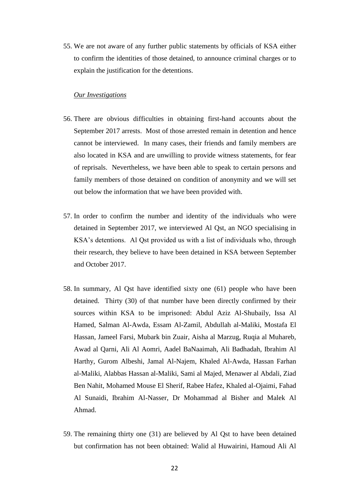55. We are not aware of any further public statements by officials of KSA either to confirm the identities of those detained, to announce criminal charges or to explain the justification for the detentions.

# *Our Investigations*

- 56. There are obvious difficulties in obtaining first-hand accounts about the September 2017 arrests. Most of those arrested remain in detention and hence cannot be interviewed. In many cases, their friends and family members are also located in KSA and are unwilling to provide witness statements, for fear of reprisals. Nevertheless, we have been able to speak to certain persons and family members of those detained on condition of anonymity and we will set out below the information that we have been provided with.
- 57. In order to confirm the number and identity of the individuals who were detained in September 2017, we interviewed Al Qst, an NGO specialising in KSA's detentions. Al Qst provided us with a list of individuals who, through their research, they believe to have been detained in KSA between September and October 2017.
- 58. In summary, Al Qst have identified sixty one (61) people who have been detained. Thirty (30) of that number have been directly confirmed by their sources within KSA to be imprisoned: Abdul Aziz Al-Shubaily, Issa Al Hamed, Salman Al-Awda, Essam Al-Zamil, Abdullah al-Maliki, Mostafa El Hassan, Jameel Farsi, Mubark bin Zuair, Aisha al Marzug, Ruqia al Muhareb, Awad al Qarni, Ali Al Aomri, Aadel BaNaaimah, Ali Badhadah, Ibrahim Al Harthy, Gurom Albeshi, Jamal Al-Najem, Khaled Al-Awda, Hassan Farhan al-Maliki, Alabbas Hassan al-Maliki, Sami al Majed, Menawer al Abdali, Ziad Ben Nahit, Mohamed Mouse El Sherif, Rabee Hafez, Khaled al-Ojaimi, Fahad Al Sunaidi, Ibrahim Al-Nasser, Dr Mohammad al Bisher and Malek Al Ahmad.
- 59. The remaining thirty one (31) are believed by Al Qst to have been detained but confirmation has not been obtained: Walid al Huwairini, Hamoud Ali Al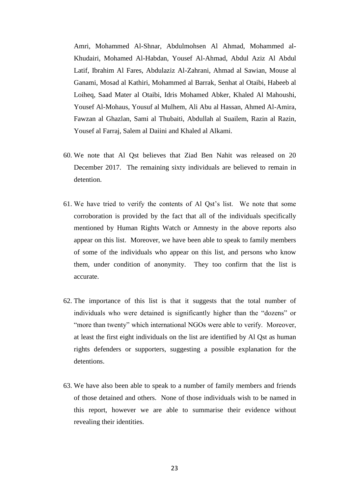Amri, Mohammed Al-Shnar, Abdulmohsen Al Ahmad, Mohammed al-Khudairi, Mohamed Al-Habdan, Yousef Al-Ahmad, Abdul Aziz Al Abdul Latif, Ibrahim Al Fares, Abdulaziz Al-Zahrani, Ahmad al Sawian, Mouse al Ganami, Mosad al Kathiri, Mohammed al Barrak, Senhat al Otaibi, Habeeb al Loiheq, Saad Mater al Otaibi, Idris Mohamed Abker, Khaled Al Mahoushi, Yousef Al-Mohaus, Yousuf al Mulhem, Ali Abu al Hassan, Ahmed Al-Amira, Fawzan al Ghazlan, Sami al Thubaiti, Abdullah al Suailem, Razin al Razin, Yousef al Farraj, Salem al Daiini and Khaled al Alkami.

- 60. We note that Al Qst believes that Ziad Ben Nahit was released on 20 December 2017. The remaining sixty individuals are believed to remain in detention.
- 61. We have tried to verify the contents of Al Qst's list. We note that some corroboration is provided by the fact that all of the individuals specifically mentioned by Human Rights Watch or Amnesty in the above reports also appear on this list. Moreover, we have been able to speak to family members of some of the individuals who appear on this list, and persons who know them, under condition of anonymity. They too confirm that the list is accurate.
- 62. The importance of this list is that it suggests that the total number of individuals who were detained is significantly higher than the "dozens" or "more than twenty" which international NGOs were able to verify. Moreover, at least the first eight individuals on the list are identified by Al Qst as human rights defenders or supporters, suggesting a possible explanation for the detentions.
- 63. We have also been able to speak to a number of family members and friends of those detained and others. None of those individuals wish to be named in this report, however we are able to summarise their evidence without revealing their identities.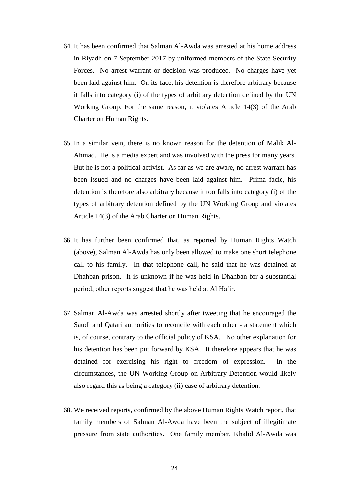- 64. It has been confirmed that Salman Al-Awda was arrested at his home address in Riyadh on 7 September 2017 by uniformed members of the State Security Forces. No arrest warrant or decision was produced. No charges have yet been laid against him. On its face, his detention is therefore arbitrary because it falls into category (i) of the types of arbitrary detention defined by the UN Working Group. For the same reason, it violates Article 14(3) of the Arab Charter on Human Rights.
- 65. In a similar vein, there is no known reason for the detention of Malik Al-Ahmad. He is a media expert and was involved with the press for many years. But he is not a political activist. As far as we are aware, no arrest warrant has been issued and no charges have been laid against him. Prima facie, his detention is therefore also arbitrary because it too falls into category (i) of the types of arbitrary detention defined by the UN Working Group and violates Article 14(3) of the Arab Charter on Human Rights.
- 66. It has further been confirmed that, as reported by Human Rights Watch (above), Salman Al-Awda has only been allowed to make one short telephone call to his family. In that telephone call, he said that he was detained at Dhahban prison. It is unknown if he was held in Dhahban for a substantial period; other reports suggest that he was held at Al Ha'ir.
- 67. Salman Al-Awda was arrested shortly after tweeting that he encouraged the Saudi and Qatari authorities to reconcile with each other - a statement which is, of course, contrary to the official policy of KSA. No other explanation for his detention has been put forward by KSA. It therefore appears that he was detained for exercising his right to freedom of expression. In the circumstances, the UN Working Group on Arbitrary Detention would likely also regard this as being a category (ii) case of arbitrary detention.
- 68. We received reports, confirmed by the above Human Rights Watch report, that family members of Salman Al-Awda have been the subject of illegitimate pressure from state authorities. One family member, Khalid Al-Awda was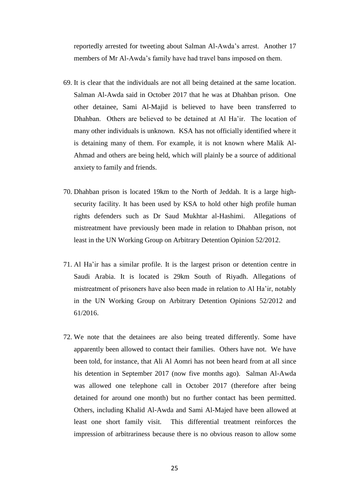reportedly arrested for tweeting about Salman Al-Awda's arrest. Another 17 members of Mr Al-Awda's family have had travel bans imposed on them.

- 69. It is clear that the individuals are not all being detained at the same location. Salman Al-Awda said in October 2017 that he was at Dhahban prison. One other detainee, Sami Al-Majid is believed to have been transferred to Dhahban. Others are believed to be detained at Al Ha'ir. The location of many other individuals is unknown. KSA has not officially identified where it is detaining many of them. For example, it is not known where Malik Al-Ahmad and others are being held, which will plainly be a source of additional anxiety to family and friends.
- 70. Dhahban prison is located 19km to the North of Jeddah. It is a large highsecurity facility. It has been used by KSA to hold other high profile human rights defenders such as Dr Saud Mukhtar al-Hashimi. Allegations of mistreatment have previously been made in relation to Dhahban prison, not least in the UN Working Group on Arbitrary Detention Opinion 52/2012.
- 71. Al Ha'ir has a similar profile. It is the largest prison or detention centre in Saudi Arabia. It is located is 29km South of Riyadh. Allegations of mistreatment of prisoners have also been made in relation to Al Ha'ir, notably in the UN Working Group on Arbitrary Detention Opinions 52/2012 and 61/2016.
- 72. We note that the detainees are also being treated differently. Some have apparently been allowed to contact their families. Others have not. We have been told, for instance, that Ali Al Aomri has not been heard from at all since his detention in September 2017 (now five months ago). Salman Al-Awda was allowed one telephone call in October 2017 (therefore after being detained for around one month) but no further contact has been permitted. Others, including Khalid Al-Awda and Sami Al-Majed have been allowed at least one short family visit. This differential treatment reinforces the impression of arbitrariness because there is no obvious reason to allow some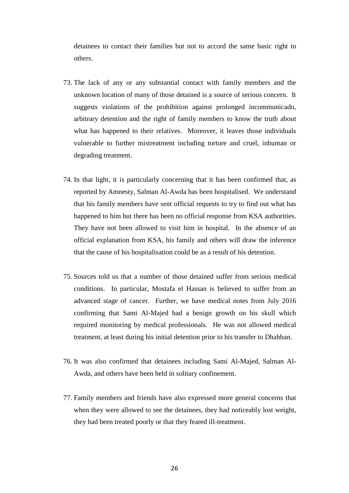detainees to contact their families but not to accord the same basic right to others.

- 73. The lack of any or any substantial contact with family members and the unknown location of many of those detained is a source of serious concern. It suggests violations of the prohibition against prolonged incommunicado, arbitrary detention and the right of family members to know the truth about what has happened to their relatives. Moreover, it leaves those individuals vulnerable to further mistreatment including torture and cruel, inhuman or degrading treatment.
- 74. In that light, it is particularly concerning that it has been confirmed that, as reported by Amnesty, Salman Al-Awda has been hospitalised. We understand that his family members have sent official requests to try to find out what has happened to him but there has been no official response from KSA authorities. They have not been allowed to visit him in hospital. In the absence of an official explanation from KSA, his family and others will draw the inference that the cause of his hospitalisation could be as a result of his detention.
- 75. Sources told us that a number of those detained suffer from serious medical conditions. In particular, Mostafa el Hassan is believed to suffer from an advanced stage of cancer. Further, we have medical notes from July 2016 confirming that Sami Al-Majed had a benign growth on his skull which required monitoring by medical professionals. He was not allowed medical treatment, at least during his initial detention prior to his transfer to Dhahban.
- 76. It was also confirmed that detainees including Sami Al-Majed, Salman Al-Awda, and others have been held in solitary confinement.
- 77. Family members and friends have also expressed more general concerns that when they were allowed to see the detainees, they had noticeably lost weight, they had been treated poorly or that they feared ill-treatment.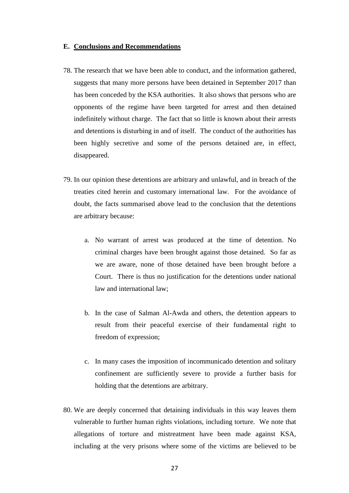#### **E. Conclusions and Recommendations**

- 78. The research that we have been able to conduct, and the information gathered, suggests that many more persons have been detained in September 2017 than has been conceded by the KSA authorities. It also shows that persons who are opponents of the regime have been targeted for arrest and then detained indefinitely without charge. The fact that so little is known about their arrests and detentions is disturbing in and of itself. The conduct of the authorities has been highly secretive and some of the persons detained are, in effect, disappeared.
- 79. In our opinion these detentions are arbitrary and unlawful, and in breach of the treaties cited herein and customary international law. For the avoidance of doubt, the facts summarised above lead to the conclusion that the detentions are arbitrary because:
	- a. No warrant of arrest was produced at the time of detention. No criminal charges have been brought against those detained. So far as we are aware, none of those detained have been brought before a Court. There is thus no justification for the detentions under national law and international law;
	- b. In the case of Salman Al-Awda and others, the detention appears to result from their peaceful exercise of their fundamental right to freedom of expression;
	- c. In many cases the imposition of incommunicado detention and solitary confinement are sufficiently severe to provide a further basis for holding that the detentions are arbitrary.
- 80. We are deeply concerned that detaining individuals in this way leaves them vulnerable to further human rights violations, including torture. We note that allegations of torture and mistreatment have been made against KSA, including at the very prisons where some of the victims are believed to be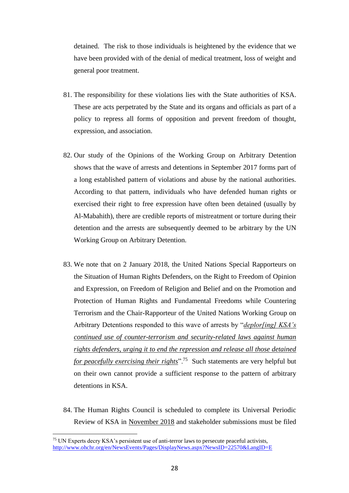detained. The risk to those individuals is heightened by the evidence that we have been provided with of the denial of medical treatment, loss of weight and general poor treatment.

- 81. The responsibility for these violations lies with the State authorities of KSA. These are acts perpetrated by the State and its organs and officials as part of a policy to repress all forms of opposition and prevent freedom of thought, expression, and association.
- 82. Our study of the Opinions of the Working Group on Arbitrary Detention shows that the wave of arrests and detentions in September 2017 forms part of a long established pattern of violations and abuse by the national authorities. According to that pattern, individuals who have defended human rights or exercised their right to free expression have often been detained (usually by Al-Mabahith), there are credible reports of mistreatment or torture during their detention and the arrests are subsequently deemed to be arbitrary by the UN Working Group on Arbitrary Detention.
- 83. We note that on 2 January 2018, the United Nations Special Rapporteurs on the Situation of Human Rights Defenders, on the Right to Freedom of Opinion and Expression, on Freedom of Religion and Belief and on the Promotion and Protection of Human Rights and Fundamental Freedoms while Countering Terrorism and the Chair-Rapporteur of the United Nations Working Group on Arbitrary Detentions responded to this wave of arrests by "*deplor[ing] KSA's continued use of counter-terrorism and security-related laws against human rights defenders, urging it to end the repression and release all those detained for peacefully exercising their rights*".<sup>75</sup> Such statements are very helpful but on their own cannot provide a sufficient response to the pattern of arbitrary detentions in KSA.
- 84. The Human Rights Council is scheduled to complete its Universal Periodic Review of KSA in November 2018 and stakeholder submissions must be filed

<sup>75</sup> UN Experts decry KSA's persistent use of anti-terror laws to persecute peaceful activists, <http://www.ohchr.org/en/NewsEvents/Pages/DisplayNews.aspx?NewsID=22570&LangID=E>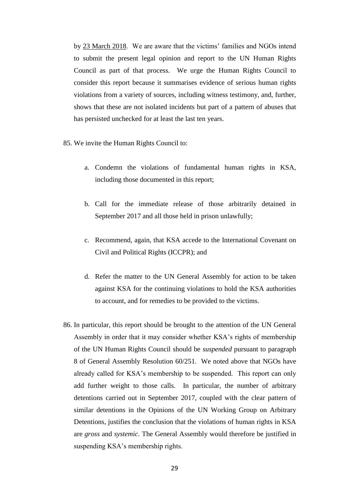by 23 March 2018. We are aware that the victims' families and NGOs intend to submit the present legal opinion and report to the UN Human Rights Council as part of that process. We urge the Human Rights Council to consider this report because it summarises evidence of serious human rights violations from a variety of sources, including witness testimony, and, further, shows that these are not isolated incidents but part of a pattern of abuses that has persisted unchecked for at least the last ten years.

- 85. We invite the Human Rights Council to:
	- a. Condemn the violations of fundamental human rights in KSA, including those documented in this report;
	- b. Call for the immediate release of those arbitrarily detained in September 2017 and all those held in prison unlawfully;
	- c. Recommend, again, that KSA accede to the International Covenant on Civil and Political Rights (ICCPR); and
	- d. Refer the matter to the UN General Assembly for action to be taken against KSA for the continuing violations to hold the KSA authorities to account, and for remedies to be provided to the victims.
- 86. In particular, this report should be brought to the attention of the UN General Assembly in order that it may consider whether KSA's rights of membership of the UN Human Rights Council should be *suspended* pursuant to paragraph 8 of General Assembly Resolution 60/251. We noted above that NGOs have already called for KSA's membership to be suspended. This report can only add further weight to those calls. In particular, the number of arbitrary detentions carried out in September 2017, coupled with the clear pattern of similar detentions in the Opinions of the UN Working Group on Arbitrary Detentions, justifies the conclusion that the violations of human rights in KSA are *gross* and *systemic*. The General Assembly would therefore be justified in suspending KSA's membership rights.